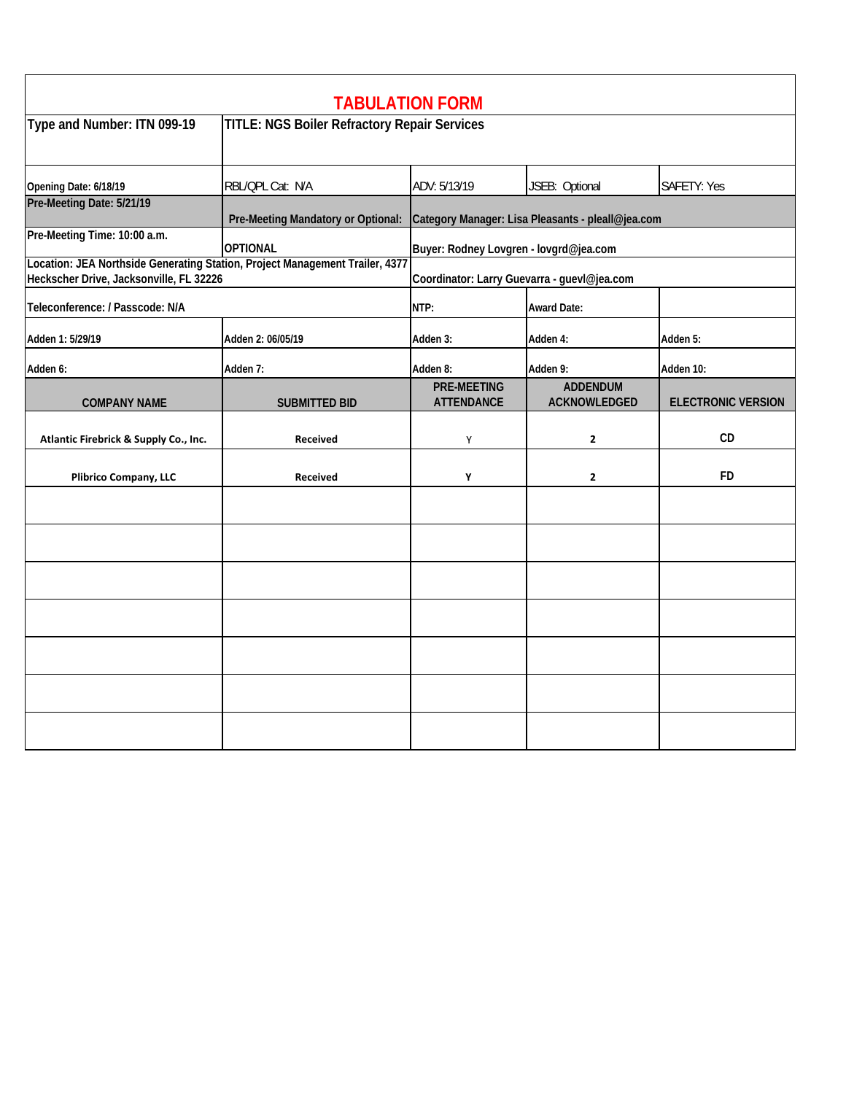|                                                                                                                         |                                                     | <b>TABULATION FORM</b>                                                               |                                        |                           |  |
|-------------------------------------------------------------------------------------------------------------------------|-----------------------------------------------------|--------------------------------------------------------------------------------------|----------------------------------------|---------------------------|--|
| Type and Number: ITN 099-19                                                                                             | <b>TITLE: NGS Boiler Refractory Repair Services</b> |                                                                                      |                                        |                           |  |
| Opening Date: 6/18/19                                                                                                   | RBL/QPL Cat: N/A                                    | ADV: 5/13/19                                                                         | JSEB: Optional                         | <b>SAFETY: Yes</b>        |  |
| Pre-Meeting Date: 5/21/19                                                                                               |                                                     | Pre-Meeting Mandatory or Optional: Category Manager: Lisa Pleasants - pleall@jea.com |                                        |                           |  |
| Pre-Meeting Time: 10:00 a.m.                                                                                            | <b>OPTIONAL</b>                                     | Buyer: Rodney Lovgren - lovgrd@jea.com                                               |                                        |                           |  |
| Location: JEA Northside Generating Station, Project Management Trailer, 4377<br>Heckscher Drive, Jacksonville, FL 32226 |                                                     | Coordinator: Larry Guevarra - guevl@jea.com                                          |                                        |                           |  |
| Teleconference: / Passcode: N/A                                                                                         |                                                     | NTP:                                                                                 | <b>Award Date:</b>                     |                           |  |
| Adden 1: 5/29/19                                                                                                        | Adden 2: 06/05/19                                   | Adden 3:                                                                             | Adden 4:                               | Adden 5:                  |  |
| Adden 6:                                                                                                                | Adden 7:                                            | Adden 8:                                                                             | Adden 9:                               | Adden 10:                 |  |
| <b>COMPANY NAME</b>                                                                                                     | <b>SUBMITTED BID</b>                                | <b>PRE-MEETING</b><br><b>ATTENDANCE</b>                                              | <b>ADDENDUM</b><br><b>ACKNOWLEDGED</b> | <b>ELECTRONIC VERSION</b> |  |
| Atlantic Firebrick & Supply Co., Inc.                                                                                   | Received                                            | Υ                                                                                    | $\mathbf{2}$                           | CD                        |  |
| <b>Plibrico Company, LLC</b>                                                                                            | <b>Received</b>                                     | Υ                                                                                    | $\mathbf{2}$                           | <b>FD</b>                 |  |
|                                                                                                                         |                                                     |                                                                                      |                                        |                           |  |
|                                                                                                                         |                                                     |                                                                                      |                                        |                           |  |
|                                                                                                                         |                                                     |                                                                                      |                                        |                           |  |
|                                                                                                                         |                                                     |                                                                                      |                                        |                           |  |
|                                                                                                                         |                                                     |                                                                                      |                                        |                           |  |
|                                                                                                                         |                                                     |                                                                                      |                                        |                           |  |
|                                                                                                                         |                                                     |                                                                                      |                                        |                           |  |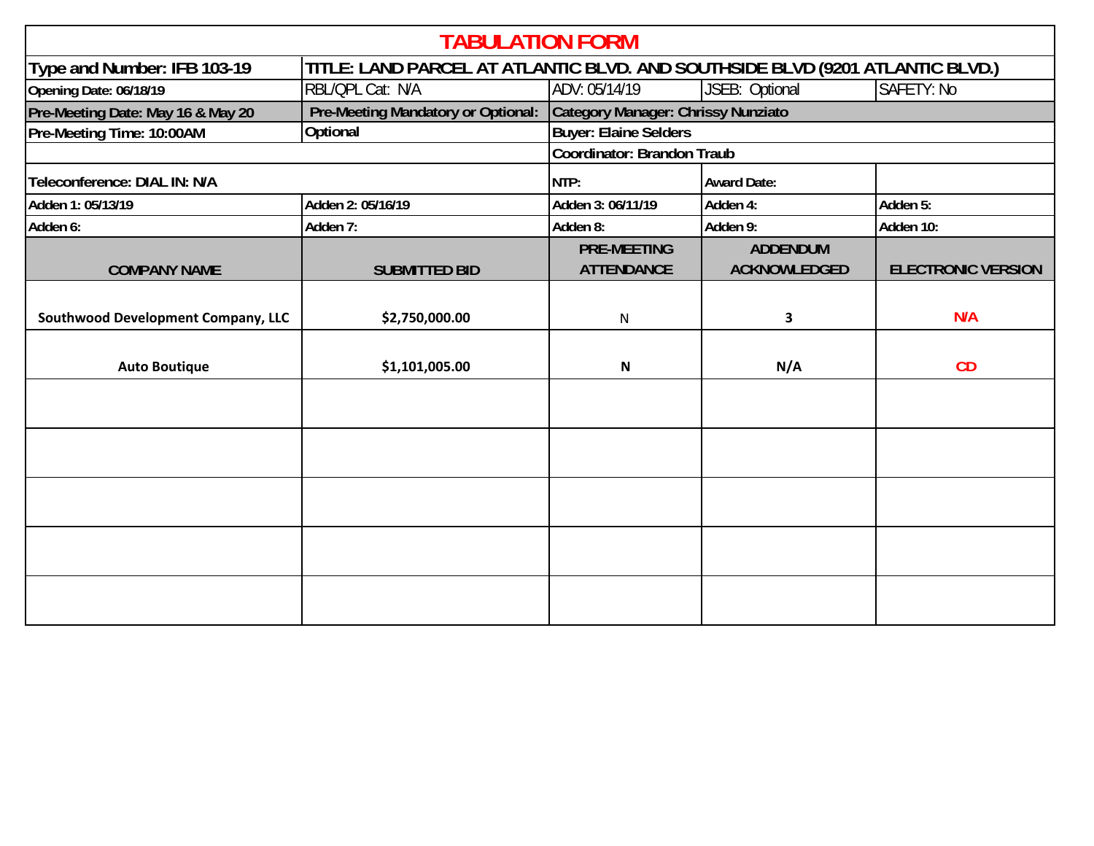| <b>TABULATION FORM</b>             |                                                                               |                                         |                                        |                           |
|------------------------------------|-------------------------------------------------------------------------------|-----------------------------------------|----------------------------------------|---------------------------|
| Type and Number: IFB 103-19        | TITLE: LAND PARCEL AT ATLANTIC BLVD. AND SOUTHSIDE BLVD (9201 ATLANTIC BLVD.) |                                         |                                        |                           |
| Opening Date: 06/18/19             | RBL/QPL Cat: N/A                                                              | ADV: 05/14/19                           | JSEB: Optional                         | <b>SAFETY: No</b>         |
| Pre-Meeting Date: May 16 & May 20  | Pre-Meeting Mandatory or Optional:                                            | Category Manager: Chrissy Nunziato      |                                        |                           |
| Pre-Meeting Time: 10:00AM          | Optional                                                                      | <b>Buyer: Elaine Selders</b>            |                                        |                           |
|                                    |                                                                               | Coordinator: Brandon Traub              |                                        |                           |
| Teleconference: DIAL IN: N/A       |                                                                               | NTP:                                    | <b>Award Date:</b>                     |                           |
| Adden 1: 05/13/19                  | Adden 2: 05/16/19                                                             | Adden 3: 06/11/19                       | Adden 4:                               | Adden 5:                  |
| Adden 6:                           | Adden 7:                                                                      | Adden 8:                                | Adden 9:                               | Adden 10:                 |
| <b>COMPANY NAME</b>                | <b>SUBMITTED BID</b>                                                          | <b>PRE-MEETING</b><br><b>ATTENDANCE</b> | <b>ADDENDUM</b><br><b>ACKNOWLEDGED</b> | <b>ELECTRONIC VERSION</b> |
| Southwood Development Company, LLC | \$2,750,000.00                                                                | $\mathsf{N}$                            | 3                                      | N/A                       |
| <b>Auto Boutique</b>               | \$1,101,005.00                                                                | N                                       | N/A                                    | CD                        |
|                                    |                                                                               |                                         |                                        |                           |
|                                    |                                                                               |                                         |                                        |                           |
|                                    |                                                                               |                                         |                                        |                           |
|                                    |                                                                               |                                         |                                        |                           |
|                                    |                                                                               |                                         |                                        |                           |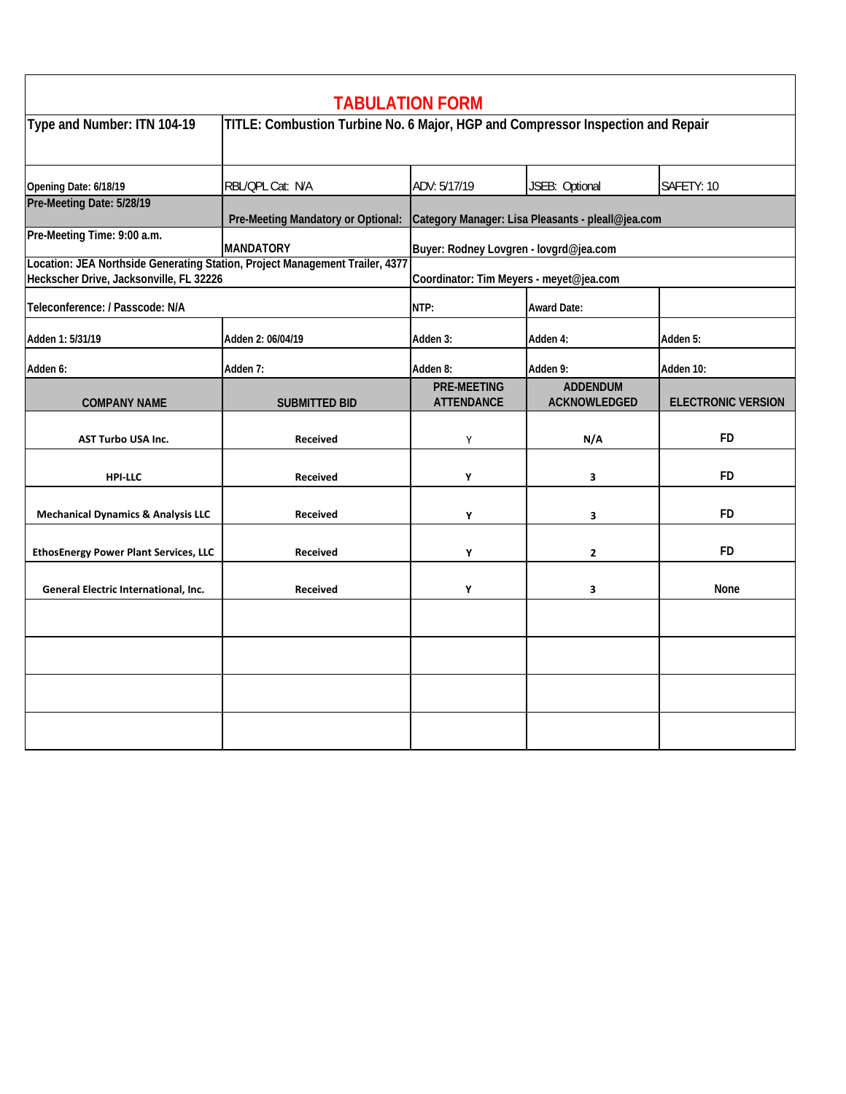|                                                                                                                         |                                                                                 | <b>TABULATION FORM</b>                            |                                        |                           |  |
|-------------------------------------------------------------------------------------------------------------------------|---------------------------------------------------------------------------------|---------------------------------------------------|----------------------------------------|---------------------------|--|
| Type and Number: ITN 104-19                                                                                             | TITLE: Combustion Turbine No. 6 Major, HGP and Compressor Inspection and Repair |                                                   |                                        |                           |  |
| Opening Date: 6/18/19                                                                                                   | RBL/QPL Cat: N/A                                                                | ADV: 5/17/19                                      | JSEB: Optional                         | SAFETY: 10                |  |
| Pre-Meeting Date: 5/28/19                                                                                               | Pre-Meeting Mandatory or Optional:                                              | Category Manager: Lisa Pleasants - pleall@jea.com |                                        |                           |  |
| Pre-Meeting Time: 9:00 a.m.                                                                                             | <b>MANDATORY</b>                                                                | Buyer: Rodney Lovgren - lovgrd@jea.com            |                                        |                           |  |
| Location: JEA Northside Generating Station, Project Management Trailer, 4377<br>Heckscher Drive, Jacksonville, FL 32226 |                                                                                 | Coordinator: Tim Meyers - meyet@jea.com           |                                        |                           |  |
| Teleconference: / Passcode: N/A                                                                                         |                                                                                 | NTP:                                              | <b>Award Date:</b>                     |                           |  |
| Adden 1: 5/31/19                                                                                                        | Adden 2: 06/04/19                                                               | Adden 3:                                          | Adden 4:                               | Adden 5:                  |  |
| Adden 6:                                                                                                                | Adden 7:                                                                        | Adden 8:                                          | Adden 9:                               | Adden 10:                 |  |
| <b>COMPANY NAME</b>                                                                                                     | <b>SUBMITTED BID</b>                                                            | <b>PRE-MEETING</b><br><b>ATTENDANCE</b>           | <b>ADDENDUM</b><br><b>ACKNOWLEDGED</b> | <b>ELECTRONIC VERSION</b> |  |
| <b>AST Turbo USA Inc.</b>                                                                                               | <b>Received</b>                                                                 | Υ                                                 | N/A                                    | <b>FD</b>                 |  |
| <b>HPI-LLC</b>                                                                                                          | <b>Received</b>                                                                 | Υ                                                 | 3                                      | <b>FD</b>                 |  |
| <b>Mechanical Dynamics &amp; Analysis LLC</b>                                                                           | <b>Received</b>                                                                 | Y                                                 | 3                                      | <b>FD</b>                 |  |
| <b>EthosEnergy Power Plant Services, LLC</b>                                                                            | <b>Received</b>                                                                 | Y                                                 | $\mathbf{2}$                           | FD.                       |  |
| General Electric International, Inc.                                                                                    | <b>Received</b>                                                                 | Y                                                 | 3                                      | None                      |  |
|                                                                                                                         |                                                                                 |                                                   |                                        |                           |  |
|                                                                                                                         |                                                                                 |                                                   |                                        |                           |  |
|                                                                                                                         |                                                                                 |                                                   |                                        |                           |  |
|                                                                                                                         |                                                                                 |                                                   |                                        |                           |  |